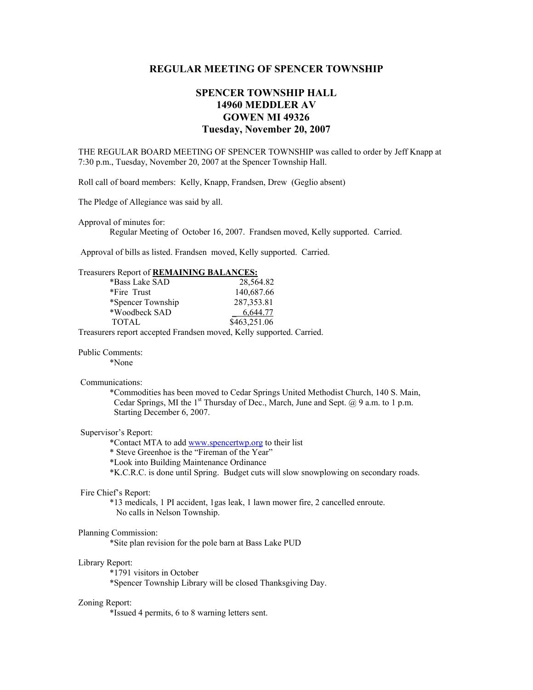## **REGULAR MEETING OF SPENCER TOWNSHIP**

# **SPENCER TOWNSHIP HALL 14960 MEDDLER AV GOWEN MI 49326 Tuesday, November 20, 2007**

THE REGULAR BOARD MEETING OF SPENCER TOWNSHIP was called to order by Jeff Knapp at 7:30 p.m., Tuesday, November 20, 2007 at the Spencer Township Hall.

Roll call of board members: Kelly, Knapp, Frandsen, Drew (Geglio absent)

The Pledge of Allegiance was said by all.

Approval of minutes for:

Regular Meeting of October 16, 2007. Frandsen moved, Kelly supported. Carried.

Approval of bills as listed. Frandsen moved, Kelly supported. Carried.

## Treasurers Report of **REMAINING BALANCES:**

| *Bass Lake SAD    | 28,564.82    |
|-------------------|--------------|
| *Fire Trust       | 140,687.66   |
| *Spencer Township | 287, 353. 81 |
| *Woodbeck SAD     | 6,644.77     |
| <b>TOTAL</b>      | \$463,251.06 |
|                   |              |

Treasurers report accepted Frandsen moved, Kelly supported. Carried.

Public Comments:

\*None

### Communications:

 \*Commodities has been moved to Cedar Springs United Methodist Church, 140 S. Main, Cedar Springs, MI the 1<sup>st</sup> Thursday of Dec., March, June and Sept. @ 9 a.m. to 1 p.m. Starting December 6, 2007.

#### Supervisor's Report:

\*Contact MTA to add www.spencertwp.org to their list

\* Steve Greenhoe is the "Fireman of the Year"

\*Look into Building Maintenance Ordinance

\*K.C.R.C. is done until Spring. Budget cuts will slow snowplowing on secondary roads.

### Fire Chief's Report:

 \*13 medicals, 1 PI accident, 1gas leak, 1 lawn mower fire, 2 cancelled enroute. No calls in Nelson Township.

#### Planning Commission:

\*Site plan revision for the pole barn at Bass Lake PUD

#### Library Report:

\*1791 visitors in October

\*Spencer Township Library will be closed Thanksgiving Day.

#### Zoning Report:

\*Issued 4 permits, 6 to 8 warning letters sent.